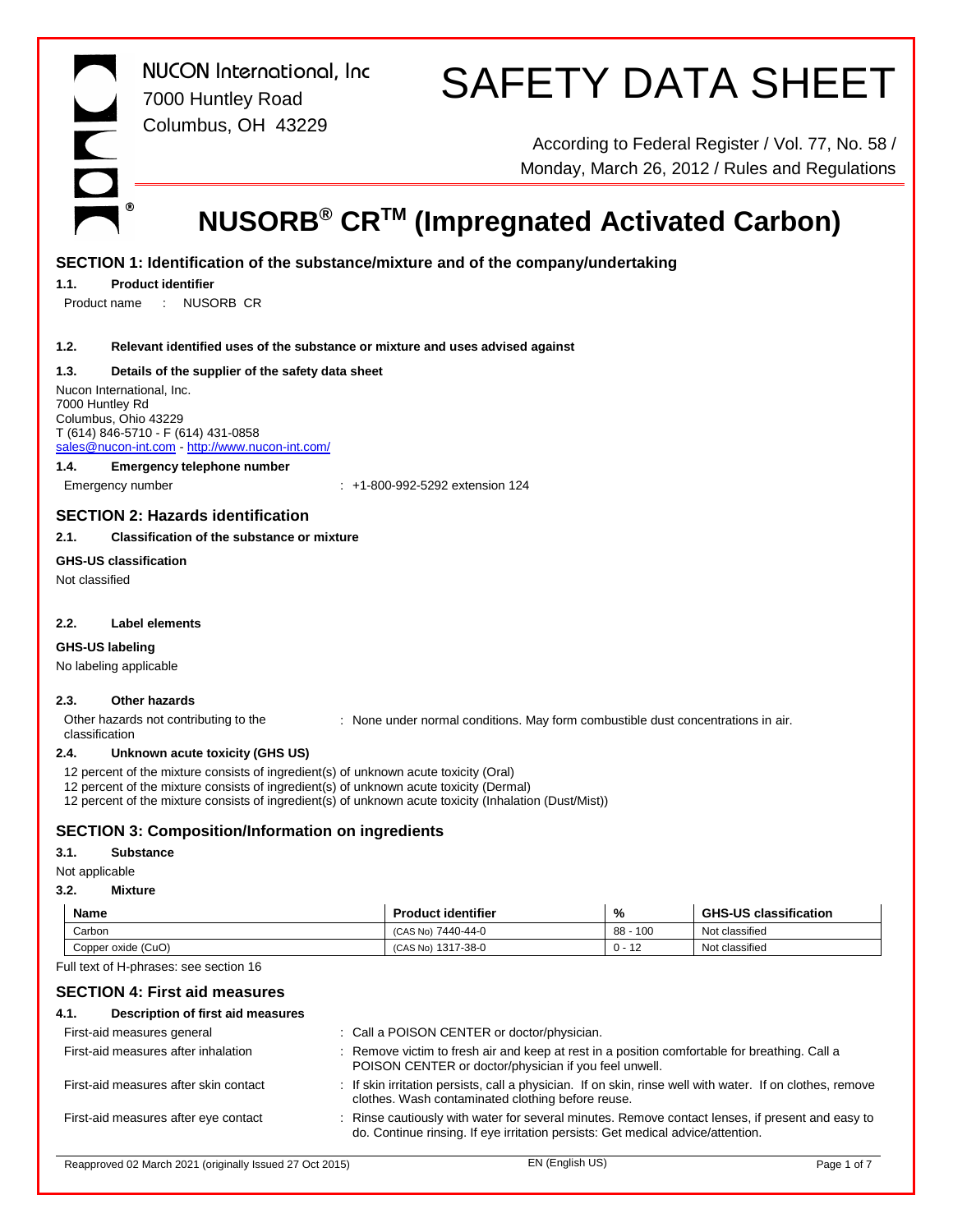$\circledR$ 

*NUCON International, Inc* 7000 Huntley Road Columbus, OH 43229

# SAFETY DATA SHEET

According to Federal Register / Vol. 77, No. 58 / Monday, March 26, 2012 / Rules and Regulations

### **NUSORB® CRTM (Impregnated Activated Carbon)**

#### **SECTION 1: Identification of the substance/mixture and of the company/undertaking**

#### **1.1. Product identifier**

Product name : NUSORB CR

#### **1.2. Relevant identified uses of the substance or mixture and uses advised against**

#### **1.3. Details of the supplier of the safety data sheet**

Nucon International, Inc. 7000 Huntley Rd Columbus, Ohio 43229 T (614) 846-5710 - F (614) 431-0858 sales@nucon-int.com - http://www.nucon-int.com/

#### **1.4. Emergency telephone number**

Emergency number : +1-800-992-5292 extension 124

#### **SECTION 2: Hazards identification**

#### **2.1. Classification of the substance or mixture**

#### **GHS-US classification**

Not classified

#### **2.2. Label elements**

#### **GHS-US labeling**

No labeling applicable

#### **2.3. Other hazards**

Other hazards not contributing to the classification : None under normal conditions. May form combustible dust concentrations in air.

#### **2.4. Unknown acute toxicity (GHS US)**

12 percent of the mixture consists of ingredient(s) of unknown acute toxicity (Oral)

12 percent of the mixture consists of ingredient(s) of unknown acute toxicity (Dermal)

12 percent of the mixture consists of ingredient(s) of unknown acute toxicity (Inhalation (Dust/Mist))

#### **SECTION 3: Composition/Information on ingredients**

#### **3.1. Substance**

#### Not applicable

#### **3.2. Mixture**

| Name               | <b>Product identifier</b> | %                                          | <b>GHS-US classification</b> |
|--------------------|---------------------------|--------------------------------------------|------------------------------|
| Carbon             | 7440-44-0<br>(CAS No)     | 100<br>$88 -$                              | Not classified               |
| Copper oxide (CuO) | 1317-38-0<br>(CAS No)     | $\overline{A}$<br>$\Omega$<br>$U -$<br>- 1 | Not classified               |

Full text of H-phrases: see section 16

#### **SECTION 4: First aid measures**

| Description of first aid measures<br>4.1. |                                                                                                                                                                                     |
|-------------------------------------------|-------------------------------------------------------------------------------------------------------------------------------------------------------------------------------------|
| First-aid measures general                | : Call a POISON CENTER or doctor/physician.                                                                                                                                         |
| First-aid measures after inhalation       | : Remove victim to fresh air and keep at rest in a position comfortable for breathing. Call a<br>POISON CENTER or doctor/physician if you feel unwell.                              |
| First-aid measures after skin contact     | : If skin irritation persists, call a physician. If on skin, rinse well with water. If on clothes, remove<br>clothes. Wash contaminated clothing before reuse.                      |
| First-aid measures after eye contact      | : Rinse cautiously with water for several minutes. Remove contact lenses, if present and easy to<br>do. Continue rinsing. If eye irritation persists: Get medical advice/attention. |
|                                           |                                                                                                                                                                                     |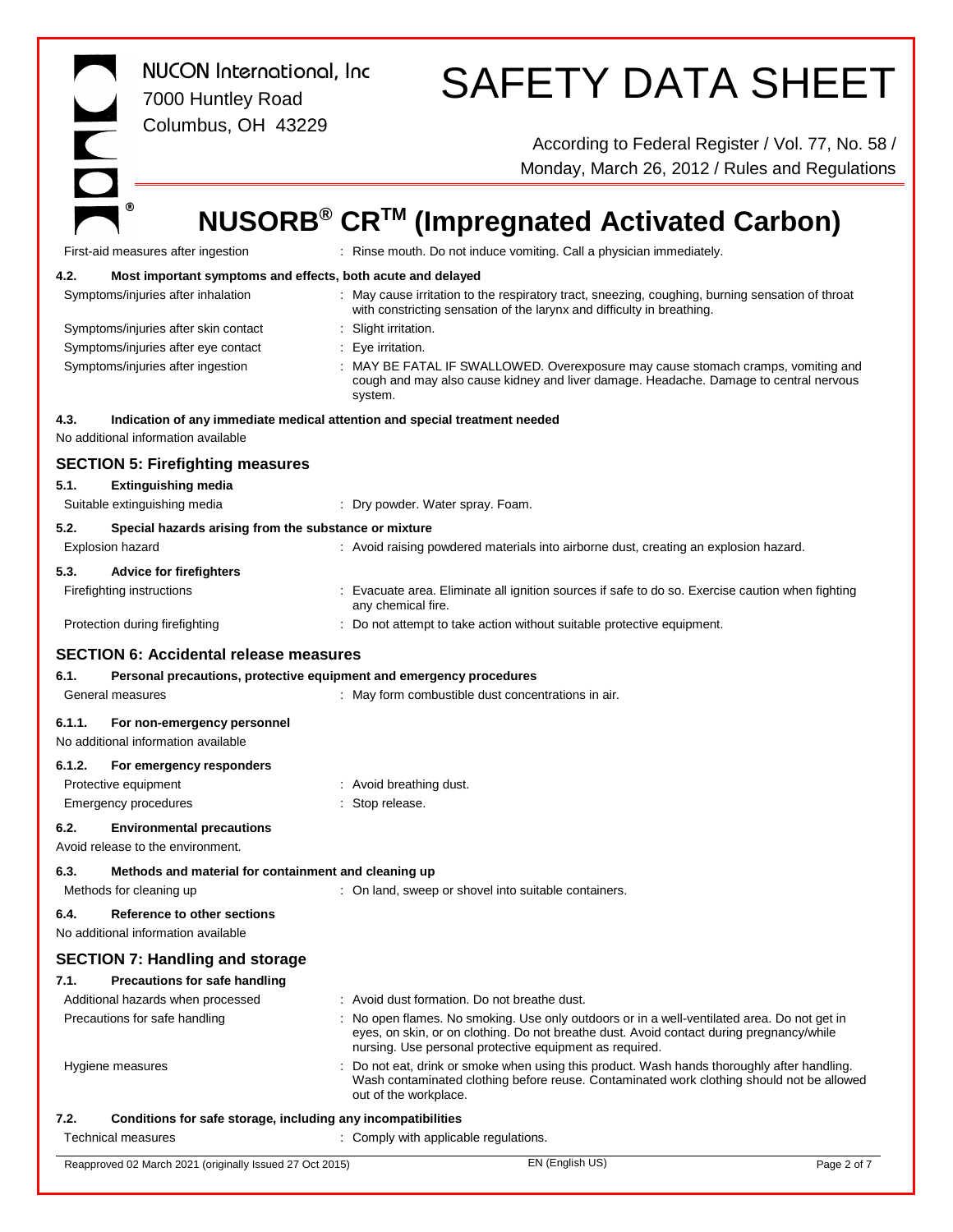| H                                            | <b>NUCON</b> International, Inc<br>7000 Huntley Road<br>Columbus, OH 43229                                        |                                          | <b>SAFETY DATA SHEET</b>                                                                                                                                                                                                                         |             |
|----------------------------------------------|-------------------------------------------------------------------------------------------------------------------|------------------------------------------|--------------------------------------------------------------------------------------------------------------------------------------------------------------------------------------------------------------------------------------------------|-------------|
|                                              |                                                                                                                   |                                          | According to Federal Register / Vol. 77, No. 58 /<br>Monday, March 26, 2012 / Rules and Regulations                                                                                                                                              |             |
|                                              | ◉                                                                                                                 |                                          | NUSORB <sup>®</sup> CR <sup>™</sup> (Impregnated Activated Carbon)                                                                                                                                                                               |             |
|                                              | First-aid measures after ingestion                                                                                |                                          | : Rinse mouth. Do not induce vomiting. Call a physician immediately.                                                                                                                                                                             |             |
| 4.2.                                         | Most important symptoms and effects, both acute and delayed                                                       |                                          |                                                                                                                                                                                                                                                  |             |
|                                              | Symptoms/injuries after inhalation                                                                                |                                          | : May cause irritation to the respiratory tract, sneezing, coughing, burning sensation of throat<br>with constricting sensation of the larynx and difficulty in breathing.                                                                       |             |
|                                              | Symptoms/injuries after skin contact                                                                              | : Slight irritation.                     |                                                                                                                                                                                                                                                  |             |
|                                              | Symptoms/injuries after eye contact<br>Symptoms/injuries after ingestion                                          | : Eye irritation.<br>system.             | : MAY BE FATAL IF SWALLOWED. Overexposure may cause stomach cramps, vomiting and<br>cough and may also cause kidney and liver damage. Headache. Damage to central nervous                                                                        |             |
| 4.3.                                         | Indication of any immediate medical attention and special treatment needed<br>No additional information available |                                          |                                                                                                                                                                                                                                                  |             |
|                                              | <b>SECTION 5: Firefighting measures</b>                                                                           |                                          |                                                                                                                                                                                                                                                  |             |
| 5.1.                                         | <b>Extinguishing media</b>                                                                                        |                                          |                                                                                                                                                                                                                                                  |             |
|                                              | Suitable extinguishing media                                                                                      |                                          | : Dry powder. Water spray. Foam.                                                                                                                                                                                                                 |             |
| 5.2.<br><b>Explosion hazard</b>              | Special hazards arising from the substance or mixture                                                             |                                          | : Avoid raising powdered materials into airborne dust, creating an explosion hazard.                                                                                                                                                             |             |
| 5.3.<br>Firefighting instructions            | <b>Advice for firefighters</b>                                                                                    | any chemical fire.                       | : Evacuate area. Eliminate all ignition sources if safe to do so. Exercise caution when fighting                                                                                                                                                 |             |
|                                              | Protection during firefighting                                                                                    |                                          | : Do not attempt to take action without suitable protective equipment.                                                                                                                                                                           |             |
|                                              | <b>SECTION 6: Accidental release measures</b>                                                                     |                                          |                                                                                                                                                                                                                                                  |             |
| 6.1.                                         | Personal precautions, protective equipment and emergency procedures                                               |                                          |                                                                                                                                                                                                                                                  |             |
| General measures                             |                                                                                                                   |                                          | : May form combustible dust concentrations in air.                                                                                                                                                                                               |             |
| 6.1.1.                                       | For non-emergency personnel<br>No additional information available                                                |                                          |                                                                                                                                                                                                                                                  |             |
| 6.1.2.                                       | For emergency responders                                                                                          |                                          |                                                                                                                                                                                                                                                  |             |
| Protective equipment<br>Emergency procedures |                                                                                                                   | : Avoid breathing dust.<br>Stop release. |                                                                                                                                                                                                                                                  |             |
| 6.2.                                         | <b>Environmental precautions</b><br>Avoid release to the environment.                                             |                                          |                                                                                                                                                                                                                                                  |             |
| 6.3.                                         | Methods and material for containment and cleaning up                                                              |                                          |                                                                                                                                                                                                                                                  |             |
|                                              | Methods for cleaning up                                                                                           |                                          | : On land, sweep or shovel into suitable containers.                                                                                                                                                                                             |             |
| 6.4.                                         | Reference to other sections<br>No additional information available                                                |                                          |                                                                                                                                                                                                                                                  |             |
|                                              | <b>SECTION 7: Handling and storage</b>                                                                            |                                          |                                                                                                                                                                                                                                                  |             |
| 7.1.                                         | <b>Precautions for safe handling</b>                                                                              |                                          |                                                                                                                                                                                                                                                  |             |
|                                              | Additional hazards when processed                                                                                 |                                          | : Avoid dust formation. Do not breathe dust.                                                                                                                                                                                                     |             |
|                                              | Precautions for safe handling                                                                                     |                                          | No open flames. No smoking. Use only outdoors or in a well-ventilated area. Do not get in<br>eyes, on skin, or on clothing. Do not breathe dust. Avoid contact during pregnancy/while<br>nursing. Use personal protective equipment as required. |             |
| Hygiene measures                             |                                                                                                                   |                                          | Do not eat, drink or smoke when using this product. Wash hands thoroughly after handling.<br>Wash contaminated clothing before reuse. Contaminated work clothing should not be allowed<br>out of the workplace.                                  |             |
| 7.2.                                         | Conditions for safe storage, including any incompatibilities                                                      |                                          |                                                                                                                                                                                                                                                  |             |
| <b>Technical measures</b>                    |                                                                                                                   |                                          | : Comply with applicable regulations.                                                                                                                                                                                                            |             |
|                                              | Reapproved 02 March 2021 (originally Issued 27 Oct 2015)                                                          |                                          | EN (English US)                                                                                                                                                                                                                                  | Page 2 of 7 |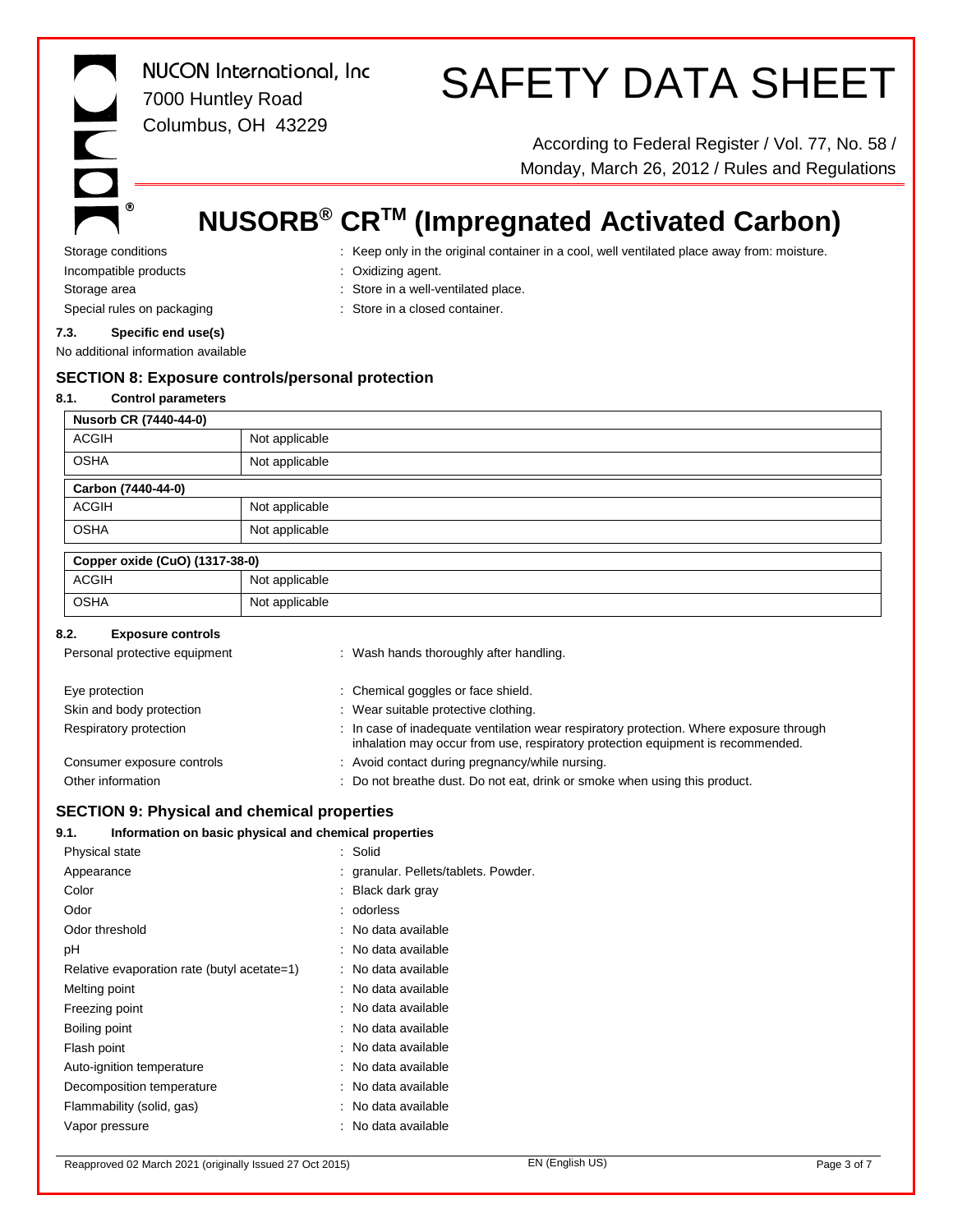# SAFETY DATA SHEET

According to Federal Register / Vol. 77, No. 58 / Monday, March 26, 2012 / Rules and Regulations

### **NUSORB® CRTM (Impregnated Activated Carbon)**

Storage conditions **interpret only in the original container in a cool, well ventilated place away from: moisture.** Incompatible products : Oxidizing agent.

 $\circledR$ 

- 
- Storage area  $\qquad \qquad :$  Store in a well-ventilated place.
	-
- Special rules on packaging **in the state of the Store in a closed container.**

#### **7.3. Specific end use(s)**

No additional information available

#### **SECTION 8: Exposure controls/personal protection**

#### **8.1. Control parameters**

| Nusorb CR (7440-44-0) |                |  |
|-----------------------|----------------|--|
| <b>ACGIH</b>          | Not applicable |  |
| <b>OSHA</b>           | Not applicable |  |
| Carbon (7440-44-0)    |                |  |
| <b>ACGIH</b>          | Not applicable |  |
| <b>OSHA</b>           | Not applicable |  |

| Copper oxide (CuO) (1317-38-0) |                |  |
|--------------------------------|----------------|--|
| <b>ACGIH</b>                   | Not applicable |  |
| <b>OSHA</b>                    | Not applicable |  |

#### **8.2. Exposure controls**

| Personal protective equipment | : Wash hands thoroughly after handling.                                                                                                                                    |
|-------------------------------|----------------------------------------------------------------------------------------------------------------------------------------------------------------------------|
| Eye protection                | : Chemical goggles or face shield.                                                                                                                                         |
| Skin and body protection      | : Wear suitable protective clothing.                                                                                                                                       |
| Respiratory protection        | : In case of inadequate ventilation wear respiratory protection. Where exposure through<br>inhalation may occur from use, respiratory protection equipment is recommended. |
| Consumer exposure controls    | : Avoid contact during pregnancy/while nursing.                                                                                                                            |
| Other information             | : Do not breathe dust. Do not eat, drink or smoke when using this product.                                                                                                 |

#### **SECTION 9: Physical and chemical properties**

#### **9.1. Information on basic physical and chemical properties**

| Physical state                              | : Solid                              |
|---------------------------------------------|--------------------------------------|
| Appearance                                  | : granular. Pellets/tablets. Powder. |
| Color                                       | Black dark gray                      |
| Odor                                        | : odorless                           |
| Odor threshold                              | : No data available                  |
| рH                                          | : No data available                  |
| Relative evaporation rate (butyl acetate=1) | : No data available                  |
| Melting point                               | : No data available                  |
| Freezing point                              | : No data available                  |
| Boiling point                               | : No data available                  |
| Flash point                                 | : No data available                  |
| Auto-ignition temperature                   | : No data available                  |
| Decomposition temperature                   | : No data available                  |
| Flammability (solid, gas)                   | : No data available                  |
| Vapor pressure                              | : No data available                  |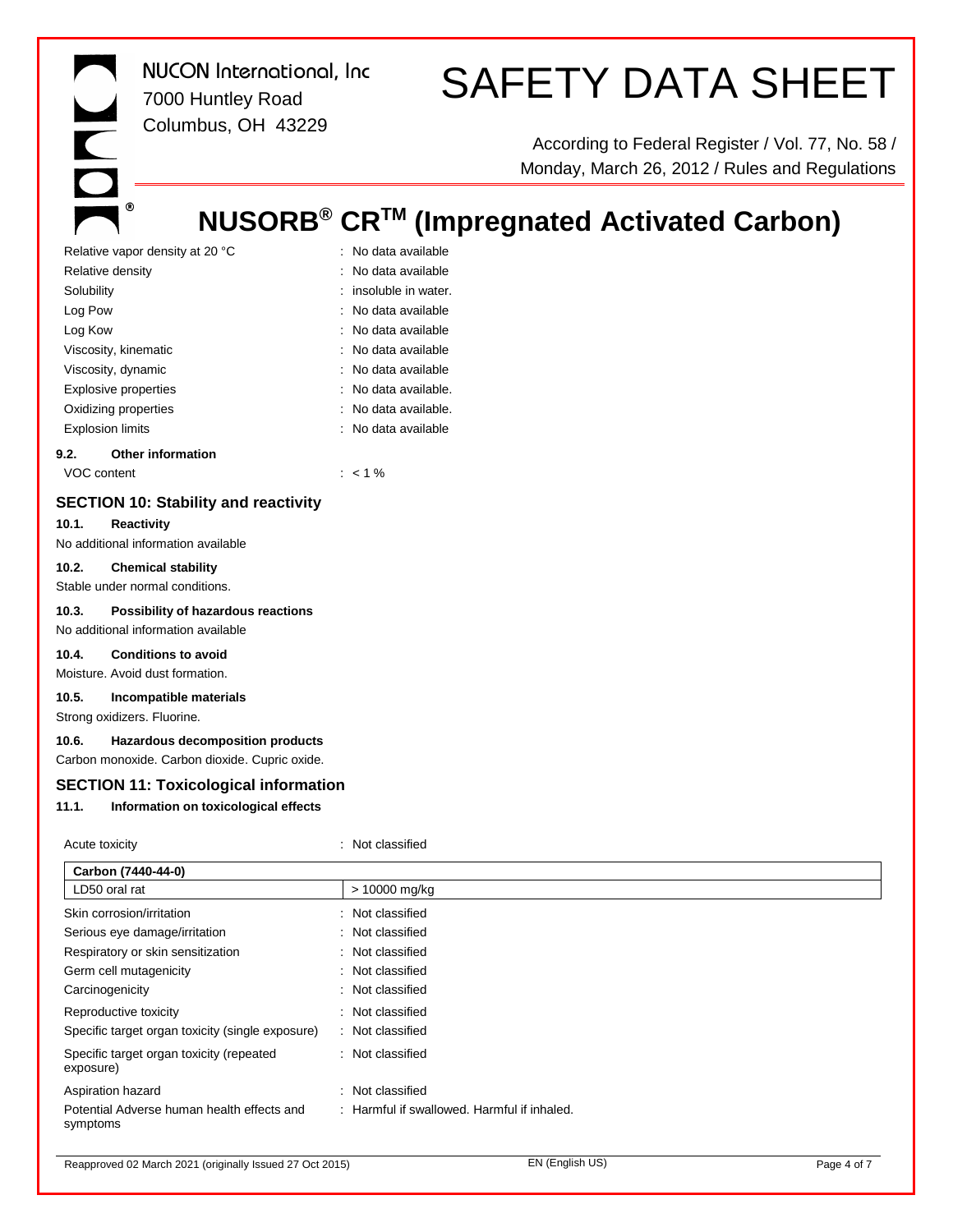# SAFETY DATA SHEET

According to Federal Register / Vol. 77, No. 58 / Monday, March 26, 2012 / Rules and Regulations

### **NUSORB® CRTM (Impregnated Activated Carbon)**

| Relative vapor density at 20 °C  | : No data available     |
|----------------------------------|-------------------------|
| Relative density                 | : No data available     |
| Solubility                       | $:$ insoluble in water. |
| Log Pow                          | : No data available     |
| Log Kow                          | : No data available     |
| Viscosity, kinematic             | : No data available     |
| Viscosity, dynamic               | : No data available     |
| <b>Explosive properties</b>      | : No data available.    |
| Oxidizing properties             | : No data available.    |
| <b>Explosion limits</b>          | : No data available     |
| <b>Other information</b><br>9.2. |                         |
|                                  |                         |

VOC content : < 1 %

 $^\circledR$ 

#### **SECTION 10: Stability and reactivity**

#### **10.1. Reactivity**

No additional information available

#### **10.2. Chemical stability**

Stable under normal conditions.

#### **10.3. Possibility of hazardous reactions**

No additional information available

#### **10.4. Conditions to avoid**

Moisture. Avoid dust formation.

#### **10.5. Incompatible materials**

Strong oxidizers. Fluorine.

#### **10.6. Hazardous decomposition products**

Carbon monoxide. Carbon dioxide. Cupric oxide.

#### **SECTION 11: Toxicological information**

#### **11.1. Information on toxicological effects**

| Acute toxicity                                         | : Not classified                            |
|--------------------------------------------------------|---------------------------------------------|
| Carbon (7440-44-0)                                     |                                             |
| LD50 oral rat                                          | > 10000 mg/kg                               |
| Skin corrosion/irritation                              | : Not classified                            |
| Serious eye damage/irritation                          | : Not classified                            |
| Respiratory or skin sensitization                      | : Not classified                            |
| Germ cell mutagenicity                                 | : Not classified                            |
| Carcinogenicity                                        | : Not classified                            |
| Reproductive toxicity                                  | : Not classified                            |
| Specific target organ toxicity (single exposure)       | : Not classified                            |
| Specific target organ toxicity (repeated<br>exposure)  | : Not classified                            |
| Aspiration hazard                                      | : Not classified                            |
| Potential Adverse human health effects and<br>symptoms | : Harmful if swallowed. Harmful if inhaled. |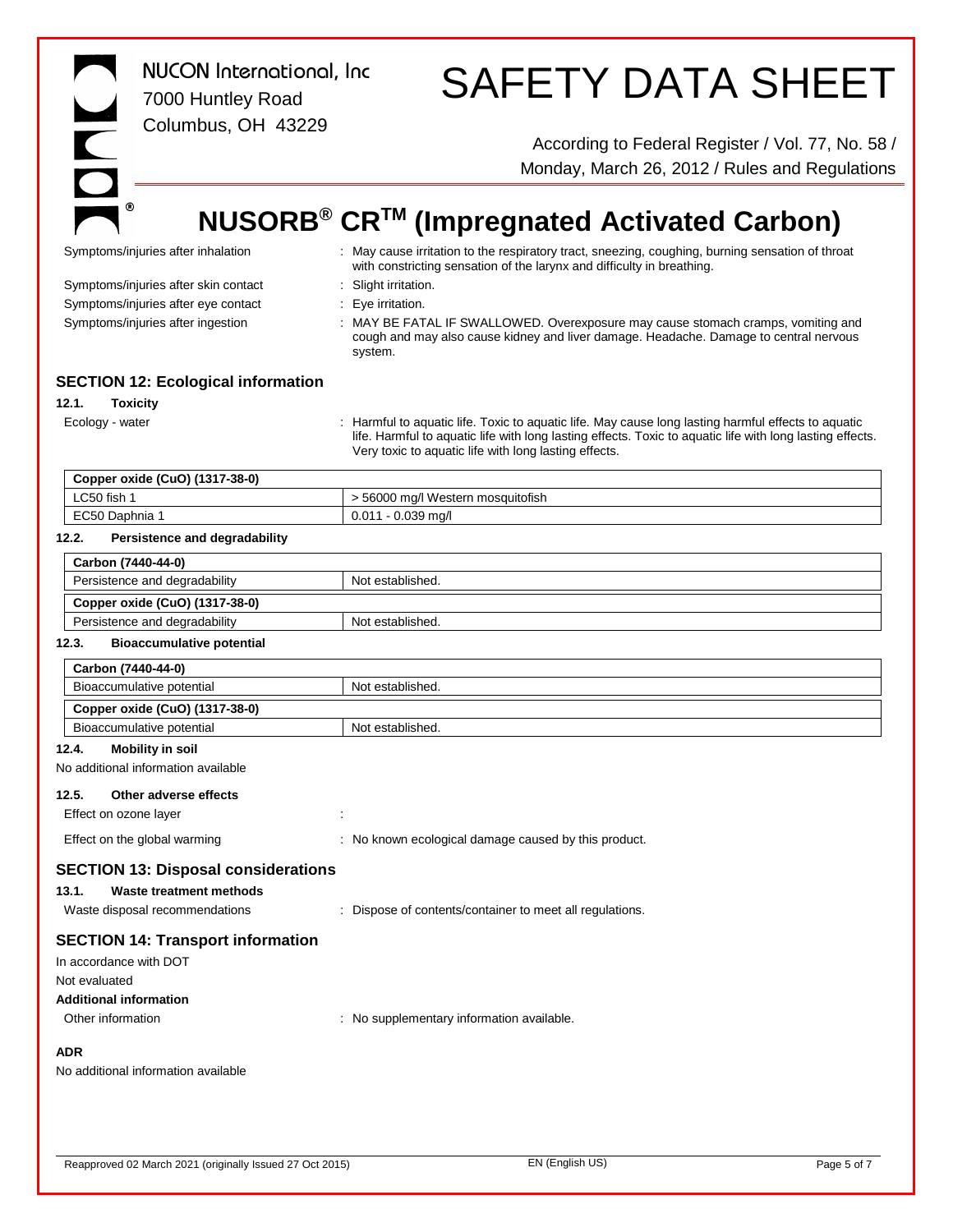| <b>NUCON</b> International, Inc<br>7000 Huntley Road<br>$\overline{\phantom{a}}$<br>Columbus, OH 43229                                           | <b>SAFETY DATA SHEET</b><br>According to Federal Register / Vol. 77, No. 58 /<br>Monday, March 26, 2012 / Rules and Regulations                                                                                                                                           |
|--------------------------------------------------------------------------------------------------------------------------------------------------|---------------------------------------------------------------------------------------------------------------------------------------------------------------------------------------------------------------------------------------------------------------------------|
| ◉                                                                                                                                                |                                                                                                                                                                                                                                                                           |
|                                                                                                                                                  | NUSORB <sup>®</sup> CR <sup>™</sup> (Impregnated Activated Carbon)                                                                                                                                                                                                        |
| Symptoms/injuries after inhalation                                                                                                               | : May cause irritation to the respiratory tract, sneezing, coughing, burning sensation of throat<br>with constricting sensation of the larynx and difficulty in breathing.                                                                                                |
| Symptoms/injuries after skin contact                                                                                                             | Slight irritation.                                                                                                                                                                                                                                                        |
| Symptoms/injuries after eye contact                                                                                                              | Eye irritation.                                                                                                                                                                                                                                                           |
| Symptoms/injuries after ingestion                                                                                                                | MAY BE FATAL IF SWALLOWED. Overexposure may cause stomach cramps, vomiting and<br>cough and may also cause kidney and liver damage. Headache. Damage to central nervous<br>system.                                                                                        |
| <b>SECTION 12: Ecological information</b>                                                                                                        |                                                                                                                                                                                                                                                                           |
| 12.1.<br><b>Toxicity</b>                                                                                                                         |                                                                                                                                                                                                                                                                           |
| Ecology - water                                                                                                                                  | : Harmful to aquatic life. Toxic to aquatic life. May cause long lasting harmful effects to aquatic<br>life. Harmful to aquatic life with long lasting effects. Toxic to aquatic life with long lasting effects.<br>Very toxic to aquatic life with long lasting effects. |
| Copper oxide (CuO) (1317-38-0)                                                                                                                   |                                                                                                                                                                                                                                                                           |
| LC50 fish 1                                                                                                                                      | > 56000 mg/l Western mosquitofish                                                                                                                                                                                                                                         |
| EC50 Daphnia 1                                                                                                                                   | 0.011 - 0.039 mg/l                                                                                                                                                                                                                                                        |
| 12.2.<br>Persistence and degradability                                                                                                           |                                                                                                                                                                                                                                                                           |
| Carbon (7440-44-0)                                                                                                                               |                                                                                                                                                                                                                                                                           |
| Persistence and degradability                                                                                                                    | Not established.                                                                                                                                                                                                                                                          |
| Copper oxide (CuO) (1317-38-0)                                                                                                                   |                                                                                                                                                                                                                                                                           |
| Persistence and degradability                                                                                                                    | Not established.                                                                                                                                                                                                                                                          |
| 12.3.<br><b>Bioaccumulative potential</b>                                                                                                        |                                                                                                                                                                                                                                                                           |
| Carbon (7440-44-0)                                                                                                                               |                                                                                                                                                                                                                                                                           |
| Bioaccumulative potential                                                                                                                        | Not established.                                                                                                                                                                                                                                                          |
| Copper oxide (CuO) (1317-38-0)                                                                                                                   |                                                                                                                                                                                                                                                                           |
| Bioaccumulative potential                                                                                                                        | Not established.                                                                                                                                                                                                                                                          |
| <b>Mobility in soil</b><br>12.4.<br>No additional information available                                                                          |                                                                                                                                                                                                                                                                           |
| Other adverse effects<br>12.5.                                                                                                                   |                                                                                                                                                                                                                                                                           |
| Effect on ozone layer                                                                                                                            |                                                                                                                                                                                                                                                                           |
| Effect on the global warming                                                                                                                     | : No known ecological damage caused by this product.                                                                                                                                                                                                                      |
| <b>SECTION 13: Disposal considerations</b><br>13.1.<br><b>Waste treatment methods</b><br>Waste disposal recommendations                          | : Dispose of contents/container to meet all regulations.                                                                                                                                                                                                                  |
| <b>SECTION 14: Transport information</b><br>In accordance with DOT<br>Not evaluated<br><b>Additional information</b><br>Other information<br>ADR | : No supplementary information available.                                                                                                                                                                                                                                 |
| No additional information available                                                                                                              |                                                                                                                                                                                                                                                                           |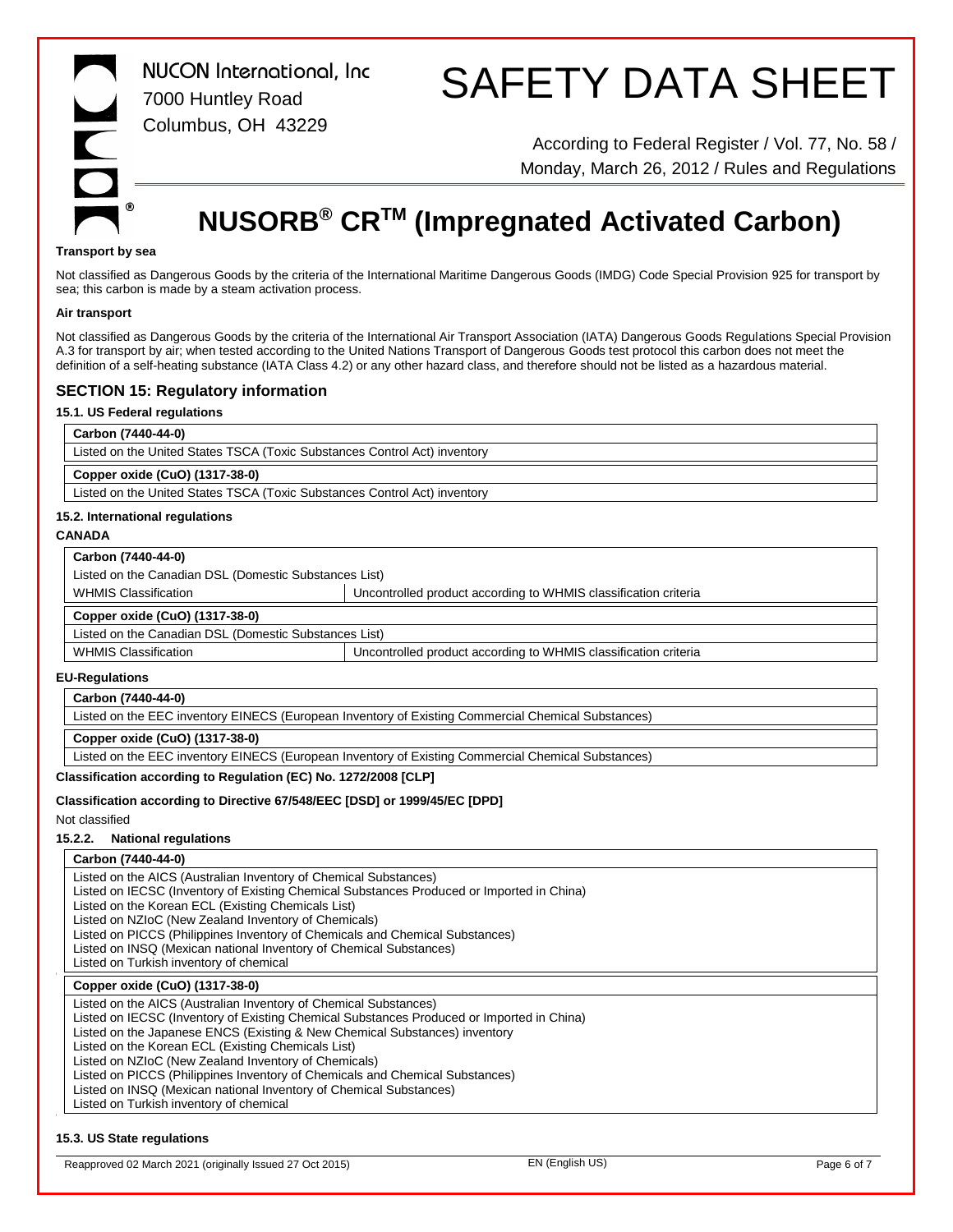

# SAFETY DATA SHEET

According to Federal Register / Vol. 77, No. 58 / Monday, March 26, 2012 / Rules and Regulations

### **NUSORB® CRTM (Impregnated Activated Carbon)**

#### **Transport by sea**

Not classified as Dangerous Goods by the criteria of the International Maritime Dangerous Goods (IMDG) Code Special Provision 925 for transport by sea; this carbon is made by a steam activation process.

#### **Air transport**

Not classified as Dangerous Goods by the criteria of the International Air Transport Association (IATA) Dangerous Goods Regulations Special Provision A.3 for transport by air; when tested according to the United Nations Transport of Dangerous Goods test protocol this carbon does not meet the definition of a self-heating substance (IATA Class 4.2) or any other hazard class, and therefore should not be listed as a hazardous material.

#### **SECTION 15: Regulatory information**

#### **15.1. US Federal regulations**

| Carbon (7440-44-0)                                                        |  |
|---------------------------------------------------------------------------|--|
| Listed on the United States TSCA (Toxic Substances Control Act) inventory |  |
| Copper oxide (CuO) (1317-38-0)                                            |  |
| Listed on the United States TSCA (Toxic Substances Control Act) inventory |  |

#### **Carbon (7440-44-0)**

| Listed on the Canadian DSL (Domestic Substances List) |                                                                 |  |
|-------------------------------------------------------|-----------------------------------------------------------------|--|
| <b>WHMIS Classification</b>                           | Uncontrolled product according to WHMIS classification criteria |  |
| Copper oxide (CuO) (1317-38-0)                        |                                                                 |  |
| Listed on the Canadian DSL (Domestic Substances List) |                                                                 |  |
| <b>WHMIS Classification</b>                           | Uncontrolled product according to WHMIS classification criteria |  |

#### **EU-Regulations**

#### **Carbon (7440-44-0)**

Listed on the EEC inventory EINECS (European Inventory of Existing Commercial Chemical Substances)

#### **Copper oxide (CuO) (1317-38-0)**

Listed on the EEC inventory EINECS (European Inventory of Existing Commercial Chemical Substances)

#### **Classification according to Regulation (EC) No. 1272/2008 [CLP]**

#### **Classification according to Directive 67/548/EEC [DSD] or 1999/45/EC [DPD]**

Not classified

#### **15.2.2. National regulations**

#### **Carbon (7440-44-0)**

Listed on the AICS (Australian Inventory of Chemical Substances)

Listed on IECSC (Inventory of Existing Chemical Substances Produced or Imported in China)

Listed on the Korean ECL (Existing Chemicals List)

Listed on NZIoC (New Zealand Inventory of Chemicals)

Listed on PICCS (Philippines Inventory of Chemicals and Chemical Substances)

Listed on INSQ (Mexican national Inventory of Chemical Substances)

Listed on Turkish inventory of chemical

#### **Copper oxide (CuO) (1317-38-0)**

Listed on the AICS (Australian Inventory of Chemical Substances)

Listed on IECSC (Inventory of Existing Chemical Substances Produced or Imported in China)

Listed on the Japanese ENCS (Existing & New Chemical Substances) inventory

Listed on the Korean ECL (Existing Chemicals List)

Listed on NZIoC (New Zealand Inventory of Chemicals)

Listed on PICCS (Philippines Inventory of Chemicals and Chemical Substances)

Listed on INSQ (Mexican national Inventory of Chemical Substances)

Listed on Turkish inventory of chemical

#### **15.3. US State regulations**

Reapproved 02 March 2021 (originally Issued 27 Oct 2015) EN (English US) ENGLISH US) Page 6 of 7